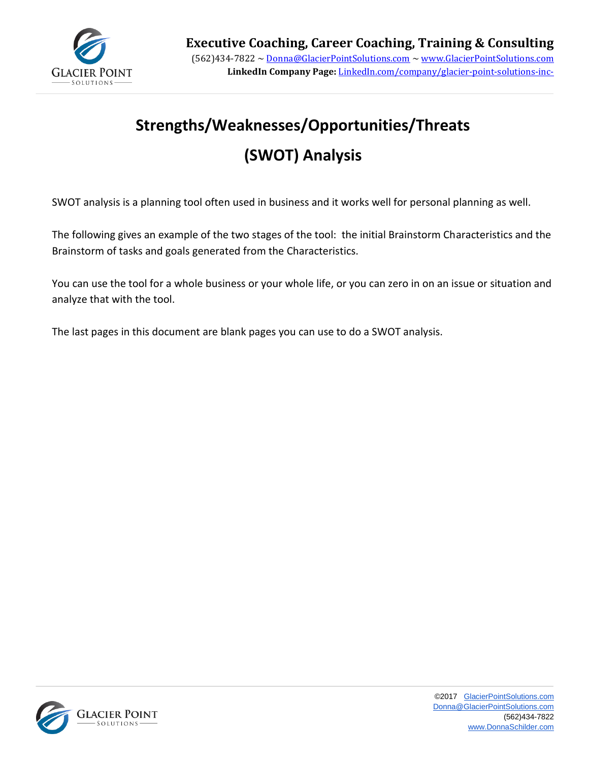

# **Strengths/Weaknesses/Opportunities/Threats (SWOT) Analysis**

SWOT analysis is a planning tool often used in business and it works well for personal planning as well.

The following gives an example of the two stages of the tool: the initial Brainstorm Characteristics and the Brainstorm of tasks and goals generated from the Characteristics.

You can use the tool for a whole business or your whole life, or you can zero in on an issue or situation and analyze that with the tool.

The last pages in this document are blank pages you can use to do a SWOT analysis.

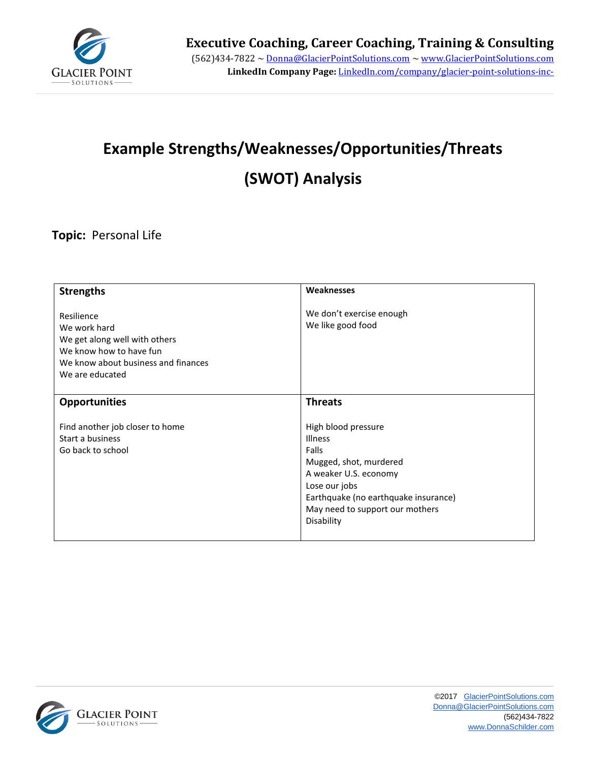

# **Example Strengths/Weaknesses/Opportunities/Threats**

# **(SWOT) Analysis**

#### **Topic:** Personal Life

| <b>Strengths</b>                                                                                                                                 | Weaknesses                                                                                                                                                                                           |
|--------------------------------------------------------------------------------------------------------------------------------------------------|------------------------------------------------------------------------------------------------------------------------------------------------------------------------------------------------------|
| Resilience<br>We work hard<br>We get along well with others<br>We know how to have fun<br>We know about business and finances<br>We are educated | We don't exercise enough<br>We like good food                                                                                                                                                        |
| <b>Opportunities</b>                                                                                                                             | <b>Threats</b>                                                                                                                                                                                       |
| Find another job closer to home<br>Start a business<br>Go back to school                                                                         | High blood pressure<br>Illness<br>Falls<br>Mugged, shot, murdered<br>A weaker U.S. economy<br>Lose our jobs<br>Earthquake (no earthquake insurance)<br>May need to support our mothers<br>Disability |

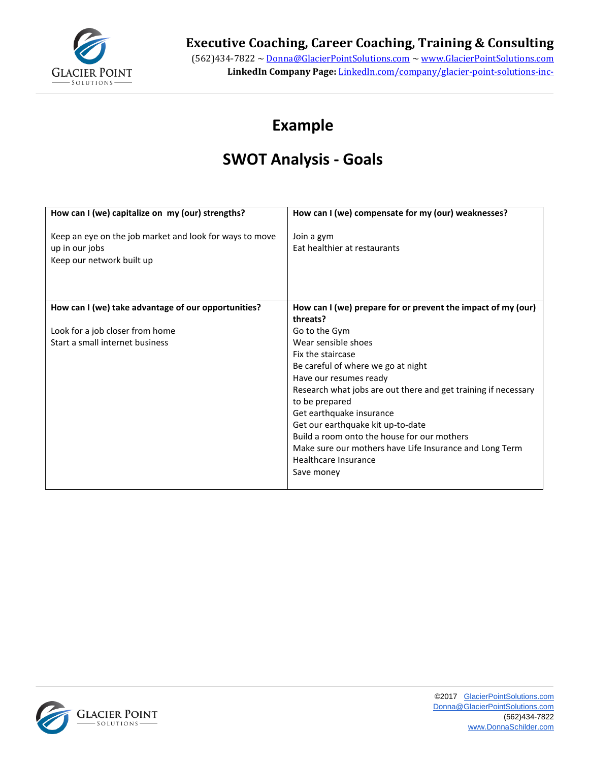

#### **Executive Coaching, Career Coaching, Training & Consulting**

(562)434-7822 ~ Donna@GlacierPointSolutions.com ~ www.GlacierPointSolutions.com **LinkedIn Company Page:** LinkedIn.com/company/glacier-point-solutions-inc-

### **Example**

### **SWOT Analysis - Goals**

| How can I (we) capitalize on my (our) strengths?                                                       | How can I (we) compensate for my (our) weaknesses?                                                                                                                                                                                                                                                                                                                                                                             |
|--------------------------------------------------------------------------------------------------------|--------------------------------------------------------------------------------------------------------------------------------------------------------------------------------------------------------------------------------------------------------------------------------------------------------------------------------------------------------------------------------------------------------------------------------|
| Keep an eye on the job market and look for ways to move<br>up in our jobs<br>Keep our network built up | Join a gym<br>Eat healthier at restaurants                                                                                                                                                                                                                                                                                                                                                                                     |
| How can I (we) take advantage of our opportunities?                                                    | How can I (we) prepare for or prevent the impact of my (our)<br>threats?                                                                                                                                                                                                                                                                                                                                                       |
| Look for a job closer from home<br>Start a small internet business                                     | Go to the Gym<br>Wear sensible shoes<br>Fix the staircase<br>Be careful of where we go at night<br>Have our resumes ready<br>Research what jobs are out there and get training if necessary<br>to be prepared<br>Get earthquake insurance<br>Get our earthquake kit up-to-date<br>Build a room onto the house for our mothers<br>Make sure our mothers have Life Insurance and Long Term<br>Healthcare Insurance<br>Save money |

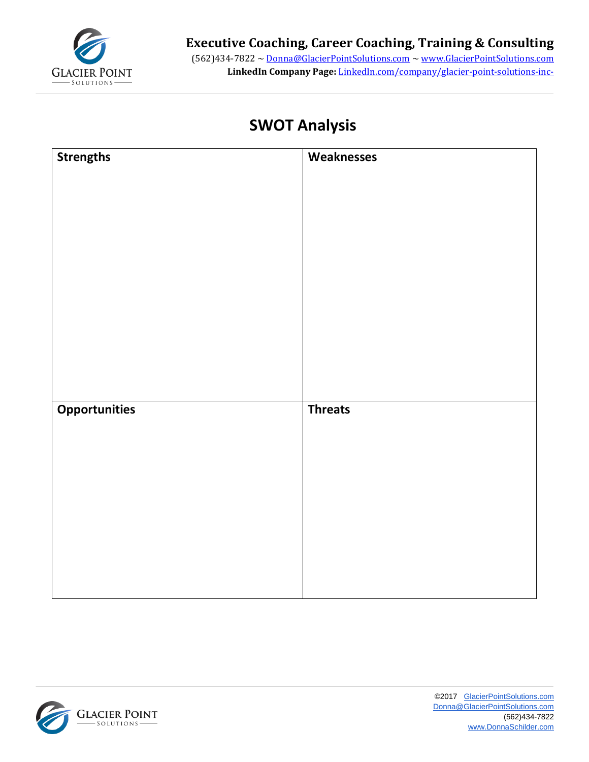

(562)434-7822 ~ Donna@GlacierPointSolutions.com ~ www.GlacierPointSolutions.com **LinkedIn Company Page:** LinkedIn.com/company/glacier-point-solutions-inc-

### **SWOT Analysis**

| <b>Strengths</b>     | Weaknesses     |
|----------------------|----------------|
|                      |                |
|                      |                |
|                      |                |
|                      |                |
|                      |                |
|                      |                |
|                      |                |
|                      |                |
|                      |                |
|                      |                |
|                      |                |
|                      |                |
| <b>Opportunities</b> | <b>Threats</b> |
|                      |                |
|                      |                |
|                      |                |
|                      |                |
|                      |                |
|                      |                |
|                      |                |
|                      |                |
|                      |                |